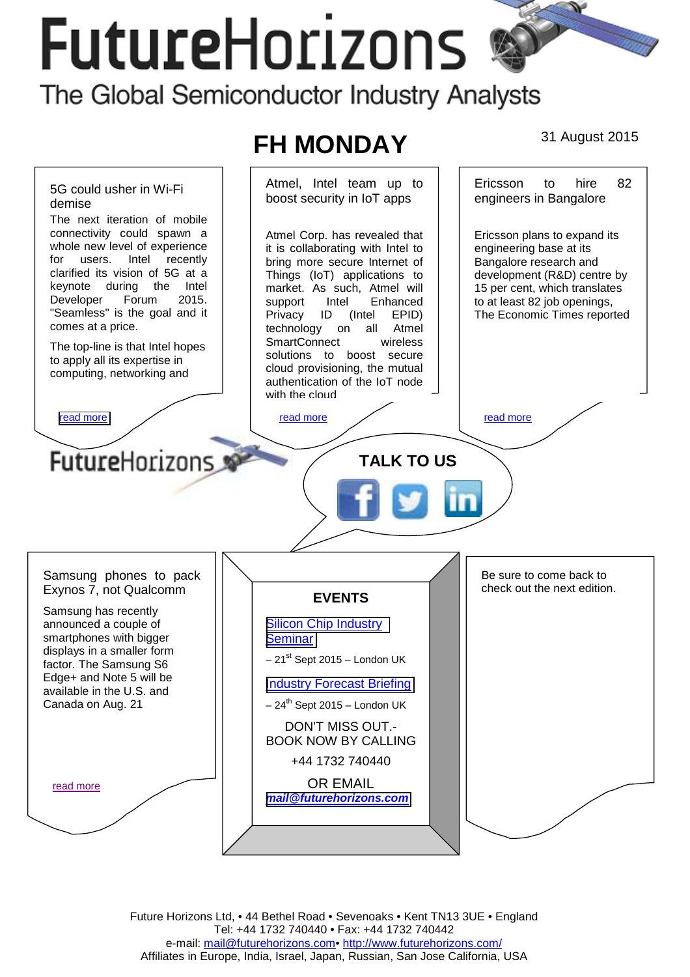# **FutureHorizons** The Global Semiconductor Industry Analysts

## **FH MONDAY** 31 August 2015



Future Horizons Ltd, • 44 Bethel Road • Sevenoaks • Kent TN13 3UE • England Tel: +44 1732 740440 • Fax: +44 1732 740442 e-mail: mail@futurehorizons.com• http://www.futurehorizons.com/ Affiliates in Europe, India, Israel, Japan, Russian, San Jose California, USA